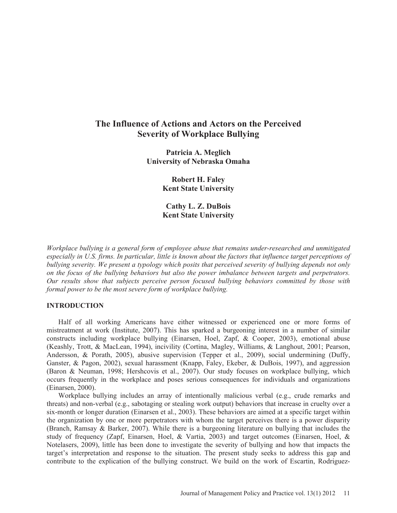# **The Influence of Actions and Actors on the Perceived Severity of Workplace Bullying**

**Patricia A. Meglich University of Nebraska Omaha** 

> **Robert H. Faley Kent State University**

> **Cathy L. Z. DuBois Kent State University**

*Workplace bullying is a general form of employee abuse that remains under-researched and unmitigated especially in U.S. firms. In particular, little is known about the factors that influence target perceptions of bullying severity. We present a typology which posits that perceived severity of bullying depends not only on the focus of the bullying behaviors but also the power imbalance between targets and perpetrators. Our results show that subjects perceive person focused bullying behaviors committed by those with formal power to be the most severe form of workplace bullying.* 

#### **INTRODUCTION**

Half of all working Americans have either witnessed or experienced one or more forms of mistreatment at work (Institute, 2007). This has sparked a burgeoning interest in a number of similar constructs including workplace bullying (Einarsen, Hoel, Zapf, & Cooper, 2003), emotional abuse (Keashly, Trott, & MacLean, 1994), incivility (Cortina, Magley, Williams, & Langhout, 2001; Pearson, Andersson, & Porath, 2005), abusive supervision (Tepper et al., 2009), social undermining (Duffy, Ganster, & Pagon, 2002), sexual harassment (Knapp, Faley, Ekeber, & DuBois, 1997), and aggression (Baron & Neuman, 1998; Hershcovis et al., 2007). Our study focuses on workplace bullying, which occurs frequently in the workplace and poses serious consequences for individuals and organizations (Einarsen, 2000).

Workplace bullying includes an array of intentionally malicious verbal (e.g., crude remarks and threats) and non-verbal (e.g., sabotaging or stealing work output) behaviors that increase in cruelty over a six-month or longer duration (Einarsen et al., 2003). These behaviors are aimed at a specific target within the organization by one or more perpetrators with whom the target perceives there is a power disparity (Branch, Ramsay & Barker, 2007). While there is a burgeoning literature on bullying that includes the study of frequency (Zapf, Einarsen, Hoel, & Vartia, 2003) and target outcomes (Einarsen, Hoel, & Notelasers, 2009), little has been done to investigate the severity of bullying and how that impacts the target's interpretation and response to the situation. The present study seeks to address this gap and contribute to the explication of the bullying construct. We build on the work of Escartin, Rodriguez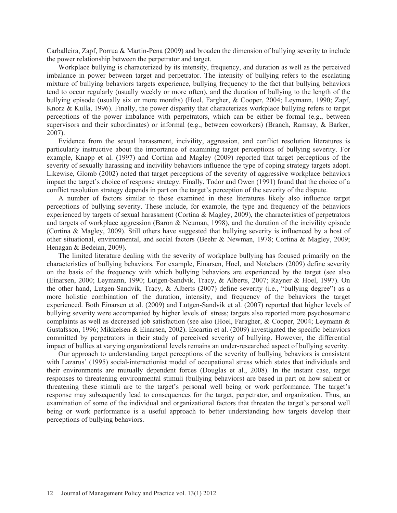Carballeira, Zapf, Porrua & Martin-Pena (2009) and broaden the dimension of bullying severity to include the power relationship between the perpetrator and target.

Workplace bullying is characterized by its intensity, frequency, and duration as well as the perceived imbalance in power between target and perpetrator. The intensity of bullying refers to the escalating mixture of bullying behaviors targets experience, bullying frequency to the fact that bullying behaviors tend to occur regularly (usually weekly or more often), and the duration of bullying to the length of the bullying episode (usually six or more months) (Hoel, Fargher, & Cooper, 2004; Leymann, 1990; Zapf, Knorz & Kulla, 1996). Finally, the power disparity that characterizes workplace bullying refers to target perceptions of the power imbalance with perpetrators, which can be either be formal (e.g., between supervisors and their subordinates) or informal (e.g., between coworkers) (Branch, Ramsay, & Barker, 2007).

Evidence from the sexual harassment, incivility, aggression, and conflict resolution literatures is particularly instructive about the importance of examining target perceptions of bullying severity. For example, Knapp et al. (1997) and Cortina and Magley (2009) reported that target perceptions of the severity of sexually harassing and incivility behaviors influence the type of coping strategy targets adopt. Likewise, Glomb (2002) noted that target perceptions of the severity of aggressive workplace behaviors impact the target's choice of response strategy. Finally, Todor and Owen (1991) found that the choice of a conflict resolution strategy depends in part on the target's perception of the severity of the dispute.

A number of factors similar to those examined in these literatures likely also influence target perceptions of bullying severity. These include, for example, the type and frequency of the behaviors experienced by targets of sexual harassment (Cortina & Magley, 2009), the characteristics of perpetrators and targets of workplace aggression (Baron & Neuman, 1998), and the duration of the incivility episode (Cortina & Magley, 2009). Still others have suggested that bullying severity is influenced by a host of other situational, environmental, and social factors (Beehr & Newman, 1978; Cortina & Magley, 2009; Henagan & Bedeian, 2009).

The limited literature dealing with the severity of workplace bullying has focused primarily on the characteristics of bullying behaviors. For example, Einarsen, Hoel, and Notelaers (2009) define severity on the basis of the frequency with which bullying behaviors are experienced by the target (see also (Einarsen, 2000; Leymann, 1990; Lutgen-Sandvik, Tracy, & Alberts, 2007; Rayner & Hoel, 1997). On the other hand, Lutgen-Sandvik, Tracy, & Alberts (2007) define severity (i.e., "bullying degree") as a more holistic combination of the duration, intensity, and frequency of the behaviors the target experienced. Both Einarsen et al. (2009) and Lutgen-Sandvik et al. (2007) reported that higher levels of bullying severity were accompanied by higher levels of stress; targets also reported more psychosomatic complaints as well as decreased job satisfaction (see also (Hoel, Faragher, & Cooper, 2004; Leymann & Gustafsson, 1996; Mikkelsen & Einarsen, 2002). Escartin et al. (2009) investigated the specific behaviors committed by perpetrators in their study of perceived severity of bullying. However, the differential impact of bullies at varying organizational levels remains an under-researched aspect of bullying severity.

Our approach to understanding target perceptions of the severity of bullying behaviors is consistent with Lazarus' (1995) social-interactionist model of occupational stress which states that individuals and their environments are mutually dependent forces (Douglas et al., 2008). In the instant case, target responses to threatening environmental stimuli (bullying behaviors) are based in part on how salient or threatening these stimuli are to the target's personal well being or work performance. The target's response may subsequently lead to consequences for the target, perpetrator, and organization. Thus, an examination of some of the individual and organizational factors that threaten the target's personal well being or work performance is a useful approach to better understanding how targets develop their perceptions of bullying behaviors.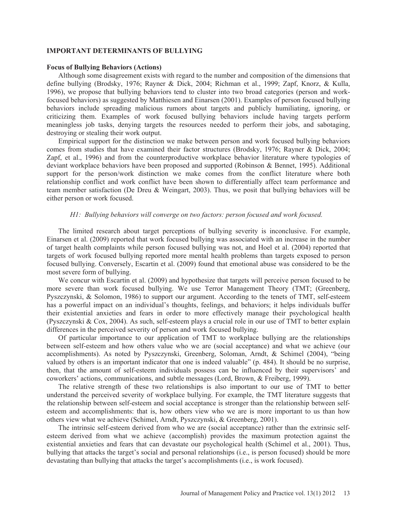### **IMPORTANT DETERMINANTS OF BULLYING**

#### **Focus of Bullying Behaviors (Actions)**

Although some disagreement exists with regard to the number and composition of the dimensions that define bullying (Brodsky, 1976; Rayner & Dick, 2004; Richman et al., 1999; Zapf, Knorz, & Kulla, 1996), we propose that bullying behaviors tend to cluster into two broad categories (person and workfocused behaviors) as suggested by Matthiesen and Einarsen (2001). Examples of person focused bullying behaviors include spreading malicious rumors about targets and publicly humiliating, ignoring, or criticizing them. Examples of work focused bullying behaviors include having targets perform meaningless job tasks, denying targets the resources needed to perform their jobs, and sabotaging, destroying or stealing their work output.

Empirical support for the distinction we make between person and work focused bullying behaviors comes from studies that have examined their factor structures (Brodsky, 1976; Rayner & Dick, 2004; Zapf, et al., 1996) and from the counterproductive workplace behavior literature where typologies of deviant workplace behaviors have been proposed and supported (Robinson & Bennet, 1995). Additional support for the person/work distinction we make comes from the conflict literature where both relationship conflict and work conflict have been shown to differentially affect team performance and team member satisfaction (De Dreu & Weingart, 2003). Thus, we posit that bullying behaviors will be either person or work focused.

# *H1: Bullying behaviors will converge on two factors: person focused and work focused.*

The limited research about target perceptions of bullying severity is inconclusive. For example, Einarsen et al. (2009) reported that work focused bullying was associated with an increase in the number of target health complaints while person focused bullying was not, and Hoel et al. (2004) reported that targets of work focused bullying reported more mental health problems than targets exposed to person focused bullying. Conversely, Escartin et al. (2009) found that emotional abuse was considered to be the most severe form of bullying.

We concur with Escartin et al. (2009) and hypothesize that targets will perceive person focused to be more severe than work focused bullying. We use Terror Management Theory (TMT; (Greenberg, Pyszczynski, & Solomon, 1986) to support our argument. According to the tenets of TMT, self-esteem has a powerful impact on an individual's thoughts, feelings, and behaviors; it helps individuals buffer their existential anxieties and fears in order to more effectively manage their psychological health (Pyszczynski & Cox, 2004). As such, self-esteem plays a crucial role in our use of TMT to better explain differences in the perceived severity of person and work focused bullying.

Of particular importance to our application of TMT to workplace bullying are the relationships between self-esteem and how others value who we are (social acceptance) and what we achieve (our accomplishments). As noted by Pyszczynski, Greenberg, Soloman, Arndt, & Schimel (2004), "being valued by others is an important indicator that one is indeed valuable" (p. 484). It should be no surprise, then, that the amount of self-esteem individuals possess can be influenced by their supervisors' and coworkers' actions, communications, and subtle messages (Lord, Brown, & Freiberg, 1999).

The relative strength of these two relationships is also important to our use of TMT to better understand the perceived severity of workplace bullying. For example, the TMT literature suggests that the relationship between self-esteem and social acceptance is stronger than the relationship between selfesteem and accomplishments: that is, how others view who we are is more important to us than how others view what we achieve (Schimel, Arndt, Pyszczynski, & Greenberg, 2001).

The intrinsic self-esteem derived from who we are (social acceptance) rather than the extrinsic selfesteem derived from what we achieve (accomplish) provides the maximum protection against the existential anxieties and fears that can devastate our psychological health (Schimel et al., 2001). Thus, bullying that attacks the target's social and personal relationships (i.e., is person focused) should be more devastating than bullying that attacks the target's accomplishments (i.e., is work focused).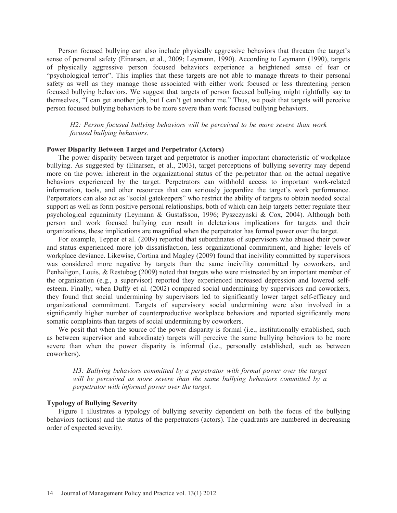Person focused bullying can also include physically aggressive behaviors that threaten the target's sense of personal safety (Einarsen, et al., 2009; Leymann, 1990). According to Leymann (1990), targets of physically aggressive person focused behaviors experience a heightened sense of fear or "psychological terror". This implies that these targets are not able to manage threats to their personal safety as well as they manage those associated with either work focused or less threatening person focused bullying behaviors. We suggest that targets of person focused bullying might rightfully say to themselves, "I can get another job, but I can't get another me." Thus, we posit that targets will perceive person focused bullying behaviors to be more severe than work focused bullying behaviors.

*H2: Person focused bullying behaviors will be perceived to be more severe than work focused bullying behaviors.* 

# **Power Disparity Between Target and Perpetrator (Actors)**

The power disparity between target and perpetrator is another important characteristic of workplace bullying. As suggested by (Einarsen, et al., 2003), target perceptions of bullying severity may depend more on the power inherent in the organizational status of the perpetrator than on the actual negative behaviors experienced by the target. Perpetrators can withhold access to important work-related information, tools, and other resources that can seriously jeopardize the target's work performance. Perpetrators can also act as "social gatekeepers" who restrict the ability of targets to obtain needed social support as well as form positive personal relationships, both of which can help targets better regulate their psychological equanimity (Leymann & Gustafsson, 1996; Pyszczynski & Cox, 2004). Although both person and work focused bullying can result in deleterious implications for targets and their organizations, these implications are magnified when the perpetrator has formal power over the target.

For example, Tepper et al. (2009) reported that subordinates of supervisors who abused their power and status experienced more job dissatisfaction, less organizational commitment, and higher levels of workplace deviance. Likewise, Cortina and Magley (2009) found that incivility committed by supervisors was considered more negative by targets than the same incivility committed by coworkers, and Penhaligon, Louis, & Restubog (2009) noted that targets who were mistreated by an important member of the organization (e.g., a supervisor) reported they experienced increased depression and lowered selfesteem. Finally, when Duffy et al. (2002) compared social undermining by supervisors and coworkers, they found that social undermining by supervisors led to significantly lower target self-efficacy and organizational commitment. Targets of supervisory social undermining were also involved in a significantly higher number of counterproductive workplace behaviors and reported significantly more somatic complaints than targets of social undermining by coworkers.

We posit that when the source of the power disparity is formal (i.e., institutionally established, such as between supervisor and subordinate) targets will perceive the same bullying behaviors to be more severe than when the power disparity is informal (i.e., personally established, such as between coworkers).

*H3: Bullying behaviors committed by a perpetrator with formal power over the target will be perceived as more severe than the same bullying behaviors committed by a perpetrator with informal power over the target.* 

#### **Typology of Bullying Severity**

Figure 1 illustrates a typology of bullying severity dependent on both the focus of the bullying behaviors (actions) and the status of the perpetrators (actors). The quadrants are numbered in decreasing order of expected severity.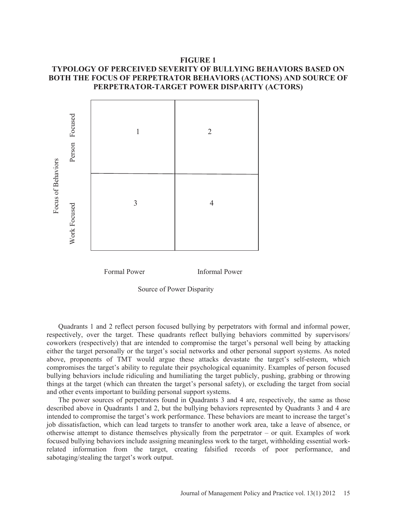# **FIGURE 1**

# **TYPOLOGY OF PERCEIVED SEVERITY OF BULLYING BEHAVIORS BASED ON BOTH THE FOCUS OF PERPETRATOR BEHAVIORS (ACTIONS) AND SOURCE OF PERPETRATOR-TARGET POWER DISPARITY (ACTORS)**



Formal Power Informal Power

Source of Power Disparity

Quadrants 1 and 2 reflect person focused bullying by perpetrators with formal and informal power, respectively, over the target. These quadrants reflect bullying behaviors committed by supervisors/ coworkers (respectively) that are intended to compromise the target's personal well being by attacking either the target personally or the target's social networks and other personal support systems. As noted above, proponents of TMT would argue these attacks devastate the target's self-esteem, which compromises the target's ability to regulate their psychological equanimity. Examples of person focused bullying behaviors include ridiculing and humiliating the target publicly, pushing, grabbing or throwing things at the target (which can threaten the target's personal safety), or excluding the target from social and other events important to building personal support systems.

The power sources of perpetrators found in Quadrants 3 and 4 are, respectively, the same as those described above in Quadrants 1 and 2, but the bullying behaviors represented by Quadrants 3 and 4 are intended to compromise the target's work performance. These behaviors are meant to increase the target's job dissatisfaction, which can lead targets to transfer to another work area, take a leave of absence, or otherwise attempt to distance themselves physically from the perpetrator – or quit. Examples of work focused bullying behaviors include assigning meaningless work to the target, withholding essential workrelated information from the target, creating falsified records of poor performance, and sabotaging/stealing the target's work output.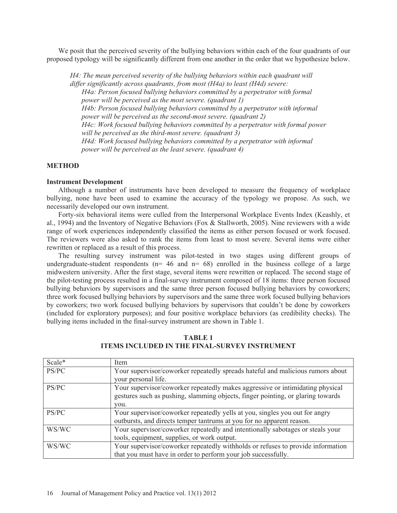We posit that the perceived severity of the bullying behaviors within each of the four quadrants of our proposed typology will be significantly different from one another in the order that we hypothesize below.

*H4: The mean perceived severity of the bullying behaviors within each quadrant will differ significantly across quadrants, from most (H4a) to least (H4d) severe: H4a: Person focused bullying behaviors committed by a perpetrator with formal power will be perceived as the most severe. (quadrant 1) H4b: Person focused bullying behaviors committed by a perpetrator with informal power will be perceived as the second-most severe. (quadrant 2) H4c: Work focused bullying behaviors committed by a perpetrator with formal power will be perceived as the third-most severe. (quadrant 3) H4d: Work focused bullying behaviors committed by a perpetrator with informal power will be perceived as the least severe. (quadrant 4)* 

### **METHOD**

### **Instrument Development**

Although a number of instruments have been developed to measure the frequency of workplace bullying, none have been used to examine the accuracy of the typology we propose. As such, we necessarily developed our own instrument.

Forty-six behavioral items were culled from the Interpersonal Workplace Events Index (Keashly, et al., 1994) and the Inventory of Negative Behaviors (Fox & Stallworth, 2005). Nine reviewers with a wide range of work experiences independently classified the items as either person focused or work focused. The reviewers were also asked to rank the items from least to most severe. Several items were either rewritten or replaced as a result of this process.

The resulting survey instrument was pilot-tested in two stages using different groups of undergraduate-student respondents ( $n= 46$  and  $n= 68$ ) enrolled in the business college of a large midwestern university. After the first stage, several items were rewritten or replaced. The second stage of the pilot-testing process resulted in a final-survey instrument composed of 18 items: three person focused bullying behaviors by supervisors and the same three person focused bullying behaviors by coworkers; three work focused bullying behaviors by supervisors and the same three work focused bullying behaviors by coworkers; two work focused bullying behaviors by supervisors that couldn't be done by coworkers (included for exploratory purposes); and four positive workplace behaviors (as credibility checks). The bullying items included in the final-survey instrument are shown in Table 1.

| Scale* | Item                                                                            |  |  |  |  |  |  |
|--------|---------------------------------------------------------------------------------|--|--|--|--|--|--|
| PS/PC  | Your supervisor/coworker repeatedly spreads hateful and malicious rumors about  |  |  |  |  |  |  |
|        | your personal life.                                                             |  |  |  |  |  |  |
| PS/PC  | Your supervisor/coworker repeatedly makes aggressive or intimidating physical   |  |  |  |  |  |  |
|        | gestures such as pushing, slamming objects, finger pointing, or glaring towards |  |  |  |  |  |  |
|        | you.                                                                            |  |  |  |  |  |  |
| PS/PC  | Your supervisor/coworker repeatedly yells at you, singles you out for angry     |  |  |  |  |  |  |
|        | outbursts, and directs temper tantrums at you for no apparent reason.           |  |  |  |  |  |  |
| WS/WC  | Your supervisor/coworker repeatedly and intentionally sabotages or steals your  |  |  |  |  |  |  |
|        | tools, equipment, supplies, or work output.                                     |  |  |  |  |  |  |
| WS/WC  | Your supervisor/coworker repeatedly withholds or refuses to provide information |  |  |  |  |  |  |
|        | that you must have in order to perform your job successfully.                   |  |  |  |  |  |  |

### **TABLE 1 ITEMS INCLUDED IN THE FINAL-SURVEY INSTRUMENT**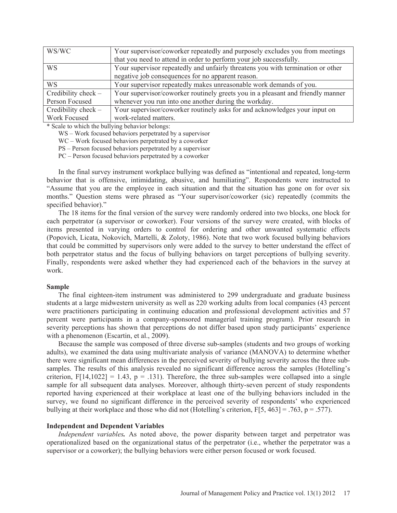| WS/WC                 | Your supervisor/coworker repeatedly and purposely excludes you from meetings    |
|-----------------------|---------------------------------------------------------------------------------|
|                       | that you need to attend in order to perform your job successfully.              |
| <b>WS</b>             | Your supervisor repeatedly and unfairly threatens you with termination or other |
|                       | negative job consequences for no apparent reason.                               |
| <b>WS</b>             | Your supervisor repeatedly makes unreasonable work demands of you.              |
| Credibility check $-$ | Your supervisor/coworker routinely greets you in a pleasant and friendly manner |
| Person Focused        | whenever you run into one another during the workday.                           |
| Credibility check $-$ | Your supervisor/coworker routinely asks for and acknowledges your input on      |
| Work Focused          | work-related matters.                                                           |

\* Scale to which the bullying behavior belongs:

WS – Work focused behaviors perpetrated by a supervisor

WC – Work focused behaviors perpetrated by a coworker

PS – Person focused behaviors perpetrated by a supervisor

PC – Person focused behaviors perpetrated by a coworker

In the final survey instrument workplace bullying was defined as "intentional and repeated, long-term behavior that is offensive, intimidating, abusive, and humiliating". Respondents were instructed to "Assume that you are the employee in each situation and that the situation has gone on for over six months." Question stems were phrased as "Your supervisor/coworker (sic) repeatedly (commits the specified behavior)."

The 18 items for the final version of the survey were randomly ordered into two blocks, one block for each perpetrator (a supervisor or coworker). Four versions of the survey were created, with blocks of items presented in varying orders to control for ordering and other unwanted systematic effects (Popovich, Licata, Nokovich, Martelli, & Zoloty, 1986). Note that two work focused bullying behaviors that could be committed by supervisors only were added to the survey to better understand the effect of both perpetrator status and the focus of bullying behaviors on target perceptions of bullying severity. Finally, respondents were asked whether they had experienced each of the behaviors in the survey at work.

#### **Sample**

The final eighteen-item instrument was administered to 299 undergraduate and graduate business students at a large midwestern university as well as 220 working adults from local companies (43 percent were practitioners participating in continuing education and professional development activities and 57 percent were participants in a company-sponsored managerial training program). Prior research in severity perceptions has shown that perceptions do not differ based upon study participants' experience with a phenomenon (Escartin, et al., 2009).

Because the sample was composed of three diverse sub-samples (students and two groups of working adults), we examined the data using multivariate analysis of variance (MANOVA) to determine whether there were significant mean differences in the perceived severity of bullying severity across the three subsamples. The results of this analysis revealed no significant difference across the samples (Hotelling's criterion,  $F[14,1022] = 1.43$ ,  $p = .131$ ). Therefore, the three sub-samples were collapsed into a single sample for all subsequent data analyses. Moreover, although thirty-seven percent of study respondents reported having experienced at their workplace at least one of the bullying behaviors included in the survey, we found no significant difference in the perceived severity of respondents' who experienced bullying at their workplace and those who did not (Hotelling's criterion, F[5, 463] = .763, p = .577).

#### **Independent and Dependent Variables**

*Independent variables.* As noted above, the power disparity between target and perpetrator was operationalized based on the organizational status of the perpetrator (i.e., whether the perpetrator was a supervisor or a coworker); the bullying behaviors were either person focused or work focused.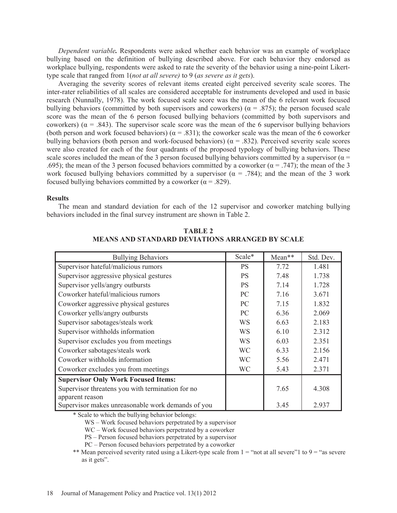*Dependent variable.* Respondents were asked whether each behavior was an example of workplace bullying based on the definition of bullying described above. For each behavior they endorsed as workplace bullying, respondents were asked to rate the severity of the behavior using a nine-point Likerttype scale that ranged from 1(*not at all severe)* to 9 (*as severe as it gets*).

Averaging the severity scores of relevant items created eight perceived severity scale scores. The inter-rater reliabilities of all scales are considered acceptable for instruments developed and used in basic research (Nunnally, 1978). The work focused scale score was the mean of the 6 relevant work focused bullying behaviors (committed by both supervisors and coworkers) ( $\alpha$  = .875); the person focused scale score was the mean of the 6 person focused bullying behaviors (committed by both supervisors and coworkers) ( $\alpha$  = .843). The supervisor scale score was the mean of the 6 supervisor bullying behaviors (both person and work focused behaviors) ( $\alpha$  = .831); the coworker scale was the mean of the 6 coworker bullying behaviors (both person and work-focused behaviors) ( $\alpha$  = .832). Perceived severity scale scores were also created for each of the four quadrants of the proposed typology of bullying behaviors. These scale scores included the mean of the 3 person focused bullying behaviors committed by a supervisor ( $\alpha$  = .695); the mean of the 3 person focused behaviors committed by a coworker ( $\alpha$  = .747); the mean of the 3 work focused bullying behaviors committed by a supervisor ( $\alpha = .784$ ); and the mean of the 3 work focused bullying behaviors committed by a coworker ( $\alpha$  = .829).

#### **Results**

The mean and standard deviation for each of the 12 supervisor and coworker matching bullying behaviors included in the final survey instrument are shown in Table 2.

| <b>Bullying Behaviors</b>                                            | Scale*    | Mean** | Std. Dev. |
|----------------------------------------------------------------------|-----------|--------|-----------|
| Supervisor hateful/malicious rumors                                  | <b>PS</b> | 7.72   | 1.481     |
| Supervisor aggressive physical gestures                              | <b>PS</b> | 7.48   | 1.738     |
| Supervisor yells/angry outbursts                                     | <b>PS</b> | 7.14   | 1.728     |
| Coworker hateful/malicious rumors                                    | PC        | 7.16   | 3.671     |
| Coworker aggressive physical gestures                                | <b>PC</b> | 7.15   | 1.832     |
| Coworker yells/angry outbursts                                       | PC        | 6.36   | 2.069     |
| Supervisor sabotages/steals work                                     | <b>WS</b> | 6.63   | 2.183     |
| Supervisor withholds information                                     | <b>WS</b> | 6.10   | 2.312     |
| Supervisor excludes you from meetings                                | WS        | 6.03   | 2.351     |
| Coworker sabotages/steals work                                       | <b>WC</b> | 6.33   | 2.156     |
| Coworker withholds information                                       | <b>WC</b> | 5.56   | 2.471     |
| Coworker excludes you from meetings                                  | <b>WC</b> | 5.43   | 2.371     |
| <b>Supervisor Only Work Focused Items:</b>                           |           |        |           |
| Supervisor threatens you with termination for no                     |           | 7.65   | 4.308     |
| apparent reason<br>Supervisor makes unreasonable work demands of you |           | 3.45   | 2.937     |

**TABLE 2 MEANS AND STANDARD DEVIATIONS ARRANGED BY SCALE** 

\* Scale to which the bullying behavior belongs:

WS – Work focused behaviors perpetrated by a supervisor

WC – Work focused behaviors perpetrated by a coworker

PS – Person focused behaviors perpetrated by a supervisor

PC – Person focused behaviors perpetrated by a coworker

\*\* Mean perceived severity rated using a Likert-type scale from  $1 =$  "not at all severe"  $1$  to  $9 =$  "as severe as it gets".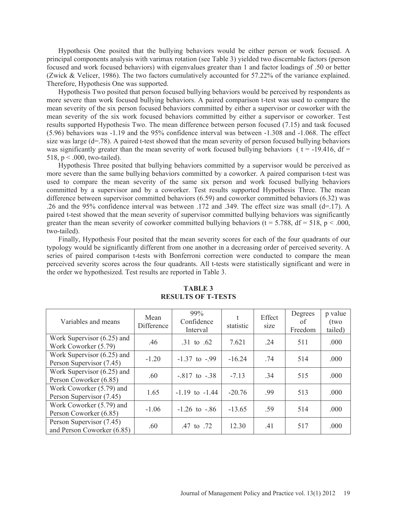Hypothesis One posited that the bullying behaviors would be either person or work focused. A principal components analysis with varimax rotation (see Table 3) yielded two discernable factors (person focused and work focused behaviors) with eigenvalues greater than 1 and factor loadings of .50 or better (Zwick & Velicer, 1986). The two factors cumulatively accounted for 57.22% of the variance explained. Therefore, Hypothesis One was supported.

Hypothesis Two posited that person focused bullying behaviors would be perceived by respondents as more severe than work focused bullying behaviors. A paired comparison t-test was used to compare the mean severity of the six person focused behaviors committed by either a supervisor or coworker with the mean severity of the six work focused behaviors committed by either a supervisor or coworker. Test results supported Hypothesis Two. The mean difference between person focused (7.15) and task focused (5.96) behaviors was -1.19 and the 95% confidence interval was between -1.308 and -1.068. The effect size was large (d=.78). A paired t-test showed that the mean severity of person focused bullying behaviors was significantly greater than the mean severity of work focused bullying behaviors ( $t = -19.416$ , df = 518,  $p < .000$ , two-tailed).

Hypothesis Three posited that bullying behaviors committed by a supervisor would be perceived as more severe than the same bullying behaviors committed by a coworker. A paired comparison t-test was used to compare the mean severity of the same six person and work focused bullying behaviors committed by a supervisor and by a coworker. Test results supported Hypothesis Three. The mean difference between supervisor committed behaviors (6.59) and coworker committed behaviors (6.32) was .26 and the 95% confidence interval was between .172 and .349. The effect size was small (d=.17). A paired t-test showed that the mean severity of supervisor committed bullying behaviors was significantly greater than the mean severity of coworker committed bullying behaviors ( $t = 5.788$ ,  $df = 518$ ,  $p < .000$ , two-tailed).

Finally, Hypothesis Four posited that the mean severity scores for each of the four quadrants of our typology would be significantly different from one another in a decreasing order of perceived severity. A series of paired comparison t-tests with Bonferroni correction were conducted to compare the mean perceived severity scores across the four quadrants. All t-tests were statistically significant and were in the order we hypothesized. Test results are reported in Table 3.

| Variables and means                                      | Mean<br>Difference | 99%<br>Confidence<br>Interval | statistic | Effect<br>size | Degrees<br>of<br>Freedom | p value<br>(two<br>tailed) |
|----------------------------------------------------------|--------------------|-------------------------------|-----------|----------------|--------------------------|----------------------------|
| Work Supervisor $(6.25)$ and<br>Work Coworker (5.79)     | .46                | .31 to .62                    | 7.621     | .24            | 511                      | .000                       |
| Work Supervisor $(6.25)$ and<br>Person Supervisor (7.45) | $-1.20$            | $-1.37$ to $-99$              | $-16.24$  | .74            | 514                      | .000                       |
| Work Supervisor $(6.25)$ and<br>Person Coworker (6.85)   | .60                | $-817$ to $-38$               | $-7.13$   | .34            | 515                      | .000                       |
| Work Coworker (5.79) and<br>Person Supervisor (7.45)     | 1.65               | $-1.19$ to $-1.44$            | $-20.76$  | -99            | 513                      | .000                       |
| Work Coworker (5.79) and<br>Person Coworker (6.85)       | $-1.06$            | $-1.26$ to $-86$              | $-13.65$  | .59            | 514                      | .000                       |
| Person Supervisor (7.45)<br>and Person Coworker (6.85)   | .60                | .47 to $.72$                  | 12.30     | .41            | 517                      | .000                       |

# **TABLE 3 RESULTS OF T-TESTS**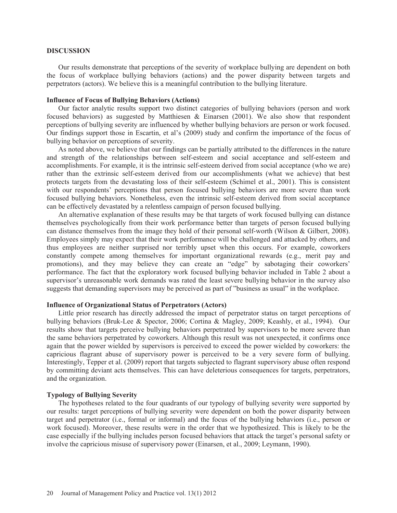#### **DISCUSSION**

Our results demonstrate that perceptions of the severity of workplace bullying are dependent on both the focus of workplace bullying behaviors (actions) and the power disparity between targets and perpetrators (actors). We believe this is a meaningful contribution to the bullying literature.

### **Influence of Focus of Bullying Behaviors (Actions)**

Our factor analytic results support two distinct categories of bullying behaviors (person and work focused behaviors) as suggested by Matthiesen & Einarsen (2001). We also show that respondent perceptions of bullying severity are influenced by whether bullying behaviors are person or work focused. Our findings support those in Escartin, et al's (2009) study and confirm the importance of the focus of bullying behavior on perceptions of severity.

As noted above, we believe that our findings can be partially attributed to the differences in the nature and strength of the relationships between self-esteem and social acceptance and self-esteem and accomplishments. For example, it is the intrinsic self-esteem derived from social acceptance (who we are) rather than the extrinsic self-esteem derived from our accomplishments (what we achieve) that best protects targets from the devastating loss of their self-esteem (Schimel et al., 2001). This is consistent with our respondents' perceptions that person focused bullying behaviors are more severe than work focused bullying behaviors. Nonetheless, even the intrinsic self-esteem derived from social acceptance can be effectively devastated by a relentless campaign of person focused bullying.

An alternative explanation of these results may be that targets of work focused bullying can distance themselves psychologically from their work performance better than targets of person focused bullying can distance themselves from the image they hold of their personal self-worth (Wilson & Gilbert, 2008). Employees simply may expect that their work performance will be challenged and attacked by others, and thus employees are neither surprised nor terribly upset when this occurs. For example, coworkers constantly compete among themselves for important organizational rewards (e.g., merit pay and promotions), and they may believe they can create an "edge" by sabotaging their coworkers' performance. The fact that the exploratory work focused bullying behavior included in Table 2 about a supervisor's unreasonable work demands was rated the least severe bullying behavior in the survey also suggests that demanding supervisors may be perceived as part of "business as usual" in the workplace.

#### **Influence of Organizational Status of Perpetrators (Actors)**

Little prior research has directly addressed the impact of perpetrator status on target perceptions of bullying behaviors (Bruk-Lee & Spector, 2006; Cortina & Magley, 2009; Keashly, et al., 1994). Our results show that targets perceive bullying behaviors perpetrated by supervisors to be more severe than the same behaviors perpetrated by coworkers. Although this result was not unexpected, it confirms once again that the power wielded by supervisors is perceived to exceed the power wielded by coworkers: the capricious flagrant abuse of supervisory power is perceived to be a very severe form of bullying. Interestingly, Tepper et al. (2009) report that targets subjected to flagrant supervisory abuse often respond by committing deviant acts themselves. This can have deleterious consequences for targets, perpetrators, and the organization.

#### **Typology of Bullying Severity**

The hypotheses related to the four quadrants of our typology of bullying severity were supported by our results: target perceptions of bullying severity were dependent on both the power disparity between target and perpetrator (i.e., formal or informal) and the focus of the bullying behaviors (i.e., person or work focused). Moreover, these results were in the order that we hypothesized. This is likely to be the case especially if the bullying includes person focused behaviors that attack the target's personal safety or involve the capricious misuse of supervisory power (Einarsen, et al., 2009; Leymann, 1990).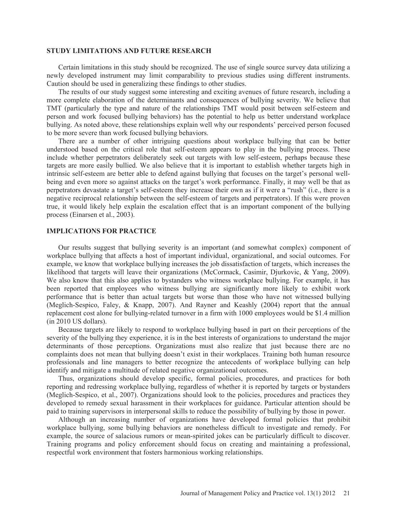#### **STUDY LIMITATIONS AND FUTURE RESEARCH**

Certain limitations in this study should be recognized. The use of single source survey data utilizing a newly developed instrument may limit comparability to previous studies using different instruments. Caution should be used in generalizing these findings to other studies.

The results of our study suggest some interesting and exciting avenues of future research, including a more complete elaboration of the determinants and consequences of bullying severity. We believe that TMT (particularly the type and nature of the relationships TMT would posit between self-esteem and person and work focused bullying behaviors) has the potential to help us better understand workplace bullying. As noted above, these relationships explain well why our respondents' perceived person focused to be more severe than work focused bullying behaviors.

There are a number of other intriguing questions about workplace bullying that can be better understood based on the critical role that self-esteem appears to play in the bullying process. These include whether perpetrators deliberately seek out targets with low self-esteem, perhaps because these targets are more easily bullied. We also believe that it is important to establish whether targets high in intrinsic self-esteem are better able to defend against bullying that focuses on the target's personal wellbeing and even more so against attacks on the target's work performance. Finally, it may well be that as perpetrators devastate a target's self-esteem they increase their own as if it were a "rush" (i.e., there is a negative reciprocal relationship between the self-esteem of targets and perpetrators). If this were proven true, it would likely help explain the escalation effect that is an important component of the bullying process (Einarsen et al., 2003).

# **IMPLICATIONS FOR PRACTICE**

Our results suggest that bullying severity is an important (and somewhat complex) component of workplace bullying that affects a host of important individual, organizational, and social outcomes. For example, we know that workplace bullying increases the job dissatisfaction of targets, which increases the likelihood that targets will leave their organizations (McCormack, Casimir, Djurkovic, & Yang, 2009). We also know that this also applies to bystanders who witness workplace bullying. For example, it has been reported that employees who witness bullying are significantly more likely to exhibit work performance that is better than actual targets but worse than those who have not witnessed bullying (Meglich-Sespico, Faley, & Knapp, 2007). And Rayner and Keashly (2004) report that the annual replacement cost alone for bullying-related turnover in a firm with 1000 employees would be \$1.4 million (in 2010 US dollars).

Because targets are likely to respond to workplace bullying based in part on their perceptions of the severity of the bullying they experience, it is in the best interests of organizations to understand the major determinants of those perceptions. Organizations must also realize that just because there are no complaints does not mean that bullying doesn't exist in their workplaces. Training both human resource professionals and line managers to better recognize the antecedents of workplace bullying can help identify and mitigate a multitude of related negative organizational outcomes.

Thus, organizations should develop specific, formal policies, procedures, and practices for both reporting and redressing workplace bullying, regardless of whether it is reported by targets or bystanders (Meglich-Sespico, et al., 2007). Organizations should look to the policies, procedures and practices they developed to remedy sexual harassment in their workplaces for guidance. Particular attention should be paid to training supervisors in interpersonal skills to reduce the possibility of bullying by those in power.

Although an increasing number of organizations have developed formal policies that prohibit workplace bullying, some bullying behaviors are nonetheless difficult to investigate and remedy. For example, the source of salacious rumors or mean-spirited jokes can be particularly difficult to discover. Training programs and policy enforcement should focus on creating and maintaining a professional, respectful work environment that fosters harmonious working relationships.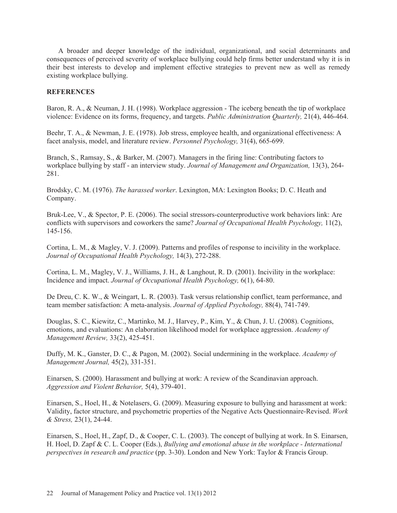A broader and deeper knowledge of the individual, organizational, and social determinants and consequences of perceived severity of workplace bullying could help firms better understand why it is in their best interests to develop and implement effective strategies to prevent new as well as remedy existing workplace bullying.

### **REFERENCES**

Baron, R. A., & Neuman, J. H. (1998). Workplace aggression - The iceberg beneath the tip of workplace violence: Evidence on its forms, frequency, and targets. *Public Administration Quarterly,* 21(4), 446-464.

Beehr, T. A., & Newman, J. E. (1978). Job stress, employee health, and organizational effectiveness: A facet analysis, model, and literature review. *Personnel Psychology,* 31(4), 665-699.

Branch, S., Ramsay, S., & Barker, M. (2007). Managers in the firing line: Contributing factors to workplace bullying by staff - an interview study. *Journal of Management and Organization,* 13(3), 264- 281.

Brodsky, C. M. (1976). *The harassed worker*. Lexington, MA: Lexington Books; D. C. Heath and Company.

Bruk-Lee, V., & Spector, P. E. (2006). The social stressors-counterproductive work behaviors link: Are conflicts with supervisors and coworkers the same? *Journal of Occupational Health Psychology,* 11(2), 145-156.

Cortina, L. M., & Magley, V. J. (2009). Patterns and profiles of response to incivility in the workplace. *Journal of Occupational Health Psychology,* 14(3), 272-288.

Cortina, L. M., Magley, V. J., Williams, J. H., & Langhout, R. D. (2001). Incivility in the workplace: Incidence and impact. *Journal of Occupational Health Psychology,* 6(1), 64-80.

De Dreu, C. K. W., & Weingart, L. R. (2003). Task versus relationship conflict, team performance, and team member satisfaction: A meta-analysis. *Journal of Applied Psychology,* 88(4), 741-749.

Douglas, S. C., Kiewitz, C., Martinko, M. J., Harvey, P., Kim, Y., & Chun, J. U. (2008). Cognitions, emotions, and evaluations: An elaboration likelihood model for workplace aggression. *Academy of Management Review,* 33(2), 425-451.

Duffy, M. K., Ganster, D. C., & Pagon, M. (2002). Social undermining in the workplace. *Academy of Management Journal,* 45(2), 331-351.

Einarsen, S. (2000). Harassment and bullying at work: A review of the Scandinavian approach. *Aggression and Violent Behavior,* 5(4), 379-401.

Einarsen, S., Hoel, H., & Notelasers, G. (2009). Measuring exposure to bullying and harassment at work: Validity, factor structure, and psychometric properties of the Negative Acts Questionnaire-Revised. *Work & Stress,* 23(1), 24-44.

Einarsen, S., Hoel, H., Zapf, D., & Cooper, C. L. (2003). The concept of bullying at work. In S. Einarsen, H. Hoel, D. Zapf & C. L. Cooper (Eds.), *Bullying and emotional abuse in the workplace - International perspectives in research and practice* (pp. 3-30). London and New York: Taylor & Francis Group.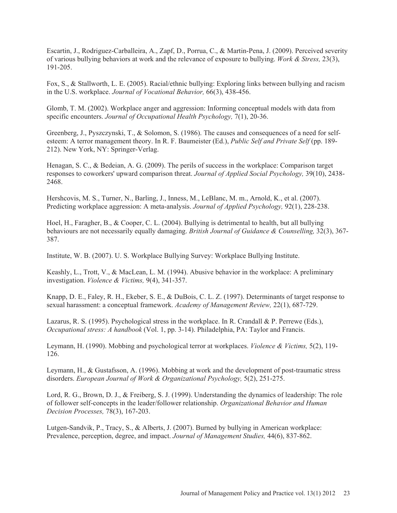Escartin, J., Rodriguez-Carballeira, A., Zapf, D., Porrua, C., & Martin-Pena, J. (2009). Perceived severity of various bullying behaviors at work and the relevance of exposure to bullying. *Work & Stress,* 23(3), 191-205.

Fox, S., & Stallworth, L. E. (2005). Racial/ethnic bullying: Exploring links between bullying and racism in the U.S. workplace. *Journal of Vocational Behavior,* 66(3), 438-456.

Glomb, T. M. (2002). Workplace anger and aggression: Informing conceptual models with data from specific encounters. *Journal of Occupational Health Psychology,* 7(1), 20-36.

Greenberg, J., Pyszczynski, T., & Solomon, S. (1986). The causes and consequences of a need for selfesteem: A terror management theory. In R. F. Baumeister (Ed.), *Public Self and Private Self* (pp. 189- 212). New York, NY: Springer-Verlag.

Henagan, S. C., & Bedeian, A. G. (2009). The perils of success in the workplace: Comparison target responses to coworkers' upward comparison threat. *Journal of Applied Social Psychology,* 39(10), 2438- 2468.

Hershcovis, M. S., Turner, N., Barling, J., Inness, M., LeBlanc, M. m., Arnold, K., et al. (2007). Predicting workplace aggression: A meta-analysis. *Journal of Applied Psychology,* 92(1), 228-238.

Hoel, H., Faragher, B., & Cooper, C. L. (2004). Bullying is detrimental to health, but all bullying behaviours are not necessarily equally damaging. *British Journal of Guidance & Counselling,* 32(3), 367- 387.

Institute, W. B. (2007). U. S. Workplace Bullying Survey: Workplace Bullying Institute.

Keashly, L., Trott, V., & MacLean, L. M. (1994). Abusive behavior in the workplace: A preliminary investigation. *Violence & Victims,* 9(4), 341-357.

Knapp, D. E., Faley, R. H., Ekeber, S. E., & DuBois, C. L. Z. (1997). Determinants of target response to sexual harassment: a conceptual framework. *Academy of Management Review,* 22(1), 687-729.

Lazarus, R. S. (1995). Psychological stress in the workplace. In R. Crandall & P. Perrewe (Eds.), *Occupational stress: A handbook* (Vol. 1, pp. 3-14). Philadelphia, PA: Taylor and Francis.

Leymann, H. (1990). Mobbing and psychological terror at workplaces. *Violence & Victims,* 5(2), 119- 126.

Leymann, H., & Gustafsson, A. (1996). Mobbing at work and the development of post-traumatic stress disorders. *European Journal of Work & Organizational Psychology,* 5(2), 251-275.

Lord, R. G., Brown, D. J., & Freiberg, S. J. (1999). Understanding the dynamics of leadership: The role of follower self-concepts in the leader/follower relationship. *Organizational Behavior and Human Decision Processes,* 78(3), 167-203.

Lutgen-Sandvik, P., Tracy, S., & Alberts, J. (2007). Burned by bullying in American workplace: Prevalence, perception, degree, and impact. *Journal of Management Studies,* 44(6), 837-862.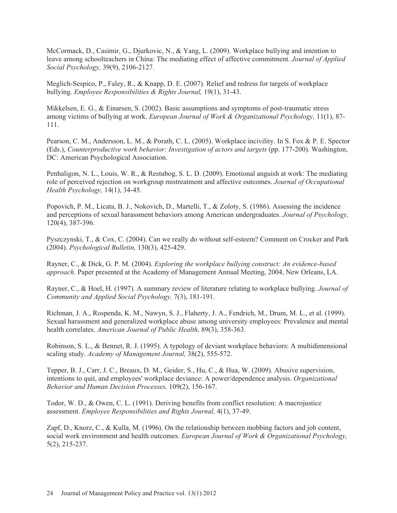McCormack, D., Casimir, G., Djurkovic, N., & Yang, L. (2009). Workplace bullying and intention to leave among schoolteachers in China: The mediating effect of affective commitment. *Journal of Applied Social Psychology,* 39(9), 2106-2127.

Meglich-Sespico, P., Faley, R., & Knapp, D. E. (2007). Relief and redress for targets of workplace bullying. *Employee Responsibilities & Rights Journal,* 19(1), 31-43.

Mikkelsen, E. G., & Einarsen, S. (2002). Basic assumptions and symptoms of post-traumatic stress among victims of bullying at work. *European Journal of Work & Organizational Psychology,* 11(1), 87- 111.

Pearson, C. M., Andersson, L. M., & Porath, C. L. (2005). Workplace incivility. In S. Fox & P. E. Spector (Eds.), *Counterproductive work behavior: Investigation of actors and targets* (pp. 177-200). Washington, DC: American Psychological Association.

Penhaligon, N. L., Louis, W. R., & Restubog, S. L. D. (2009). Emotional anguish at work: The mediating role of perceived rejection on workgroup mistreatment and affective outcomes. *Journal of Occupational Health Psychology,* 14(1), 34-45.

Popovich, P. M., Licata, B. J., Nokovich, D., Martelli, T., & Zoloty, S. (1986). Assessing the incidence and perceptions of sexual harassment behaviors among American undergraduates. *Journal of Psychology,*  120(4), 387-396.

Pyszczynski, T., & Cox, C. (2004). Can we really do without self-esteem? Comment on Crocker and Park (2004). *Psychological Bulletin,* 130(3), 425-429.

Rayner, C., & Dick, G. P. M. (2004). *Exploring the workplace bullying construct: An evidence-based approach.* Paper presented at the Academy of Management Annual Meeting, 2004, New Orleans, LA.

Rayner, C., & Hoel, H. (1997). A summary review of literature relating to workplace bullying. *Journal of Community and Applied Social Psychology,* 7(3), 181-191.

Richman, J. A., Rospenda, K. M., Nawyn, S. J., Flaherty, J. A., Fendrich, M., Drum, M. L., et al. (1999). Sexual harassment and generalized workplace abuse among university employees: Prevalence and mental health correlates. *American Journal of Public Health,* 89(3), 358-363.

Robinson, S. L., & Bennet, R. J. (1995). A typology of deviant workplace behaviors: A multidimensional scaling study. *Academy of Management Journal,* 38(2), 555-572.

Tepper, B. J., Carr, J. C., Breaux, D. M., Geider, S., Hu, C., & Hua, W. (2009). Abusive supervision, intentions to quit, and employees' workplace deviance: A power/dependence analysis. *Organizational Behavior and Human Decision Processes,* 109(2), 156-167.

Todor, W. D., & Owen, C. L. (1991). Deriving benefits from conflict resolution: A macrojustice assessment. *Employee Responsibilities and Rights Journal,* 4(1), 37-49.

Zapf, D., Knorz, C., & Kulla, M. (1996). On the relationship between mobbing factors and job content, social work environment and health outcomes. *European Journal of Work & Organizational Psychology,*  5(2), 215-237.